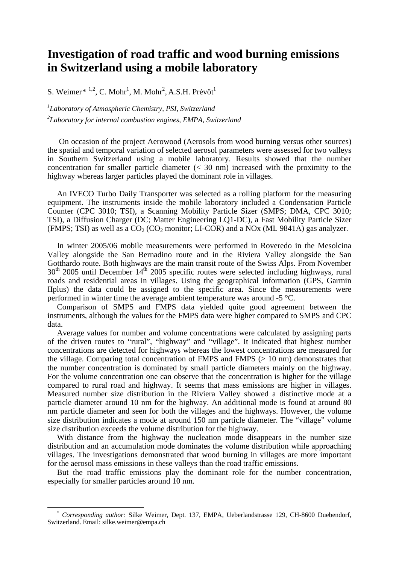#### **Investigation of road traffic and wood burning emissions in Switzerland using a mobile laboratory**

S. Weimer[\\*](#page-0-0)  $1,2$ , C. Mohr<sup>1</sup>, M. Mohr<sup>2</sup>, A.S.H. Prévôt<sup>1</sup>

*1 Laboratory of Atmospheric Chemistry, PSI, Switzerland 2 Laboratory for internal combustion engines, EMPA, Switzerland* 

 On occasion of the project Aerowood (Aerosols from wood burning versus other sources) the spatial and temporal variation of selected aerosol parameters were assessed for two valleys in Southern Switzerland using a mobile laboratory. Results showed that the number concentration for smaller particle diameter  $( $30 \text{ nm}$ )$  increased with the proximity to the highway whereas larger particles played the dominant role in villages.

An IVECO Turbo Daily Transporter was selected as a rolling platform for the measuring equipment. The instruments inside the mobile laboratory included a Condensation Particle Counter (CPC 3010; TSI), a Scanning Mobility Particle Sizer (SMPS; DMA, CPC 3010; TSI), a Diffusion Charger (DC; Matter Engineering LQ1-DC), a Fast Mobility Particle Sizer (FMPS; TSI) as well as a  $CO_2$  (CO<sub>2</sub> monitor; LI-COR) and a NOx (ML 9841A) gas analyzer.

In winter 2005/06 mobile measurements were performed in Roveredo in the Mesolcina Valley alongside the San Bernadino route and in the Riviera Valley alongside the San Gotthardo route. Both highways are the main transit route of the Swiss Alps. From November  $30<sup>th</sup>$  2005 until December  $14<sup>th</sup>$  2005 specific routes were selected including highways, rural roads and residential areas in villages. Using the geographical information (GPS, Garmin IIplus) the data could be assigned to the specific area. Since the measurements were performed in winter time the average ambient temperature was around -5 °C.

Comparison of SMPS and FMPS data yielded quite good agreement between the instruments, although the values for the FMPS data were higher compared to SMPS and CPC data.

Average values for number and volume concentrations were calculated by assigning parts of the driven routes to "rural", "highway" and "village". It indicated that highest number concentrations are detected for highways whereas the lowest concentrations are measured for the village. Comparing total concentration of FMPS and FMPS (> 10 nm) demonstrates that the number concentration is dominated by small particle diameters mainly on the highway. For the volume concentration one can observe that the concentration is higher for the village compared to rural road and highway. It seems that mass emissions are higher in villages. Measured number size distribution in the Riviera Valley showed a distinctive mode at a particle diameter around 10 nm for the highway. An additional mode is found at around 80 nm particle diameter and seen for both the villages and the highways. However, the volume size distribution indicates a mode at around 150 nm particle diameter. The "village" volume size distribution exceeds the volume distribution for the highway.

With distance from the highway the nucleation mode disappears in the number size distribution and an accumulation mode dominates the volume distribution while approaching villages. The investigations demonstrated that wood burning in villages are more important for the aerosol mass emissions in these valleys than the road traffic emissions.

But the road traffic emissions play the dominant role for the number concentration, especially for smaller particles around 10 nm.

<span id="page-0-0"></span> <sup>\*</sup> *Corresponding author:* Silke Weimer, Dept. 137, EMPA, Ueberlandstrasse 129, CH-8600 Duebendorf, Switzerland. Email: silke.weimer@empa.ch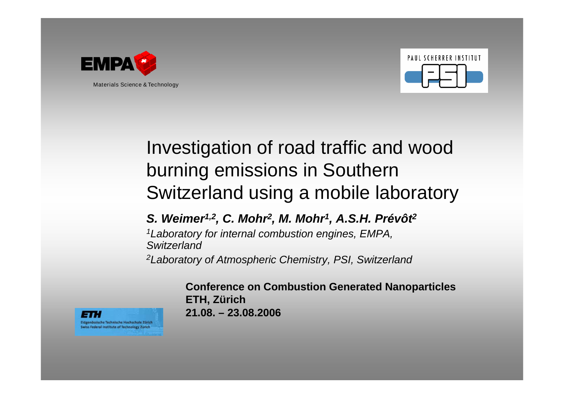



# Investigation of road traffic and wood burning emissions in Southern Switzerland using a mobile laboratory

### *S. Weimer1,2, C. Mohr2, M. Mohr1, A.S.H. Prévôt2*

*1Laboratory for internal combustion engines, EMPA, Switzerland*

*2Laboratory of Atmospheric Chemistry, PSI, Switzerland*

**Conference on Combustion Generated Nanoparticles ETH, Zürich 21.08. – 23.08.2006**

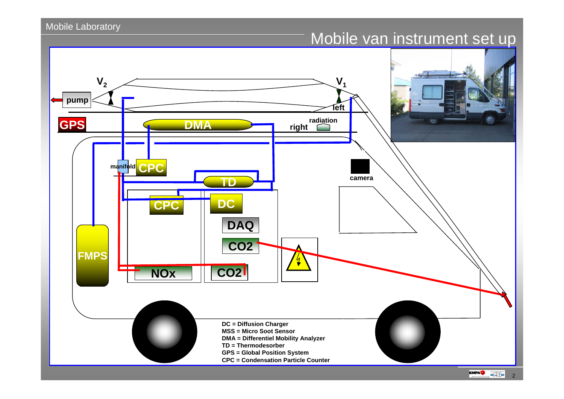### Mobile van instrument set up



 $\blacksquare$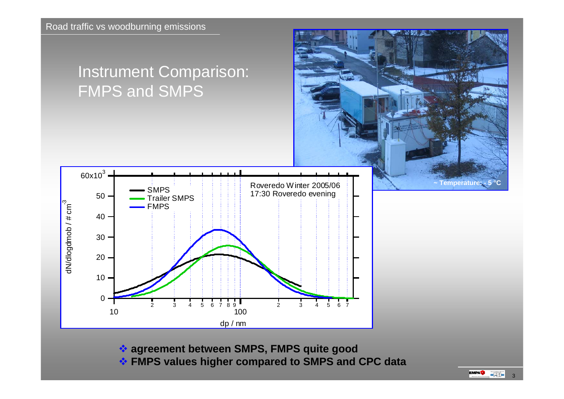## Instrument Comparison: FMPS and SMPS



**agreement between SMPS, FMPS quite good**

**FMPS values higher compared to SMPS and CPC data**

 $Temperature: -5$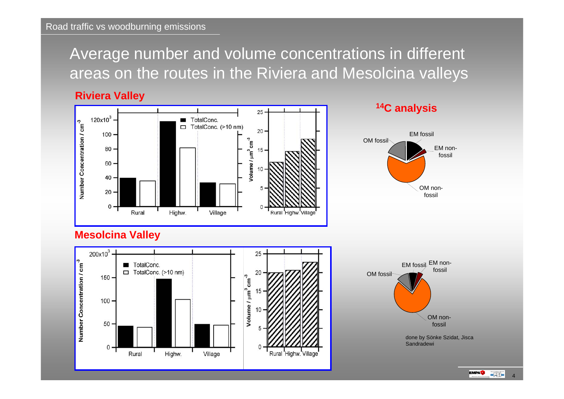### Average number and volume concentrations in different areas on the routes in the Riviera and Mesolcina valleys

**Riviera Valley**



#### **14C analysis**



#### **Mesolcina Valley**





 $\blacksquare$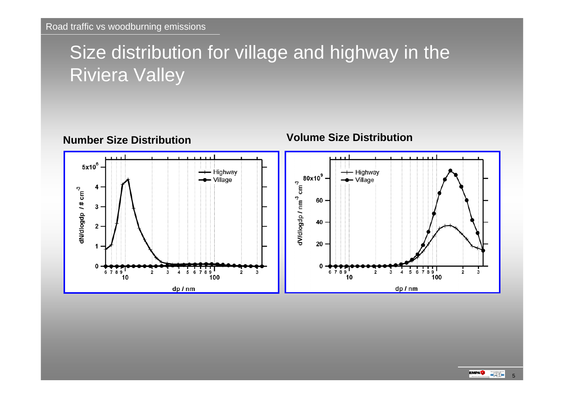## Size distribution for village and highway in the Riviera Valley

**Number Size Distribution**



#### **Volume Size Distribution**

 $\blacksquare$